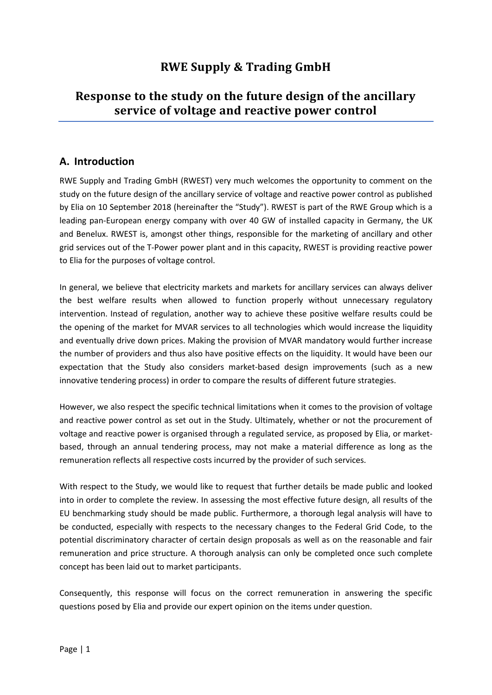# **RWE Supply & Trading GmbH**

# **Response to the study on the future design of the ancillary service of voltage and reactive power control**

## **A. Introduction**

RWE Supply and Trading GmbH (RWEST) very much welcomes the opportunity to comment on the study on the future design of the ancillary service of voltage and reactive power control as published by Elia on 10 September 2018 (hereinafter the "Study"). RWEST is part of the RWE Group which is a leading pan-European energy company with over 40 GW of installed capacity in Germany, the UK and Benelux. RWEST is, amongst other things, responsible for the marketing of ancillary and other grid services out of the T-Power power plant and in this capacity, RWEST is providing reactive power to Elia for the purposes of voltage control.

In general, we believe that electricity markets and markets for ancillary services can always deliver the best welfare results when allowed to function properly without unnecessary regulatory intervention. Instead of regulation, another way to achieve these positive welfare results could be the opening of the market for MVAR services to all technologies which would increase the liquidity and eventually drive down prices. Making the provision of MVAR mandatory would further increase the number of providers and thus also have positive effects on the liquidity. It would have been our expectation that the Study also considers market-based design improvements (such as a new innovative tendering process) in order to compare the results of different future strategies.

However, we also respect the specific technical limitations when it comes to the provision of voltage and reactive power control as set out in the Study. Ultimately, whether or not the procurement of voltage and reactive power is organised through a regulated service, as proposed by Elia, or marketbased, through an annual tendering process, may not make a material difference as long as the remuneration reflects all respective costs incurred by the provider of such services.

With respect to the Study, we would like to request that further details be made public and looked into in order to complete the review. In assessing the most effective future design, all results of the EU benchmarking study should be made public. Furthermore, a thorough legal analysis will have to be conducted, especially with respects to the necessary changes to the Federal Grid Code, to the potential discriminatory character of certain design proposals as well as on the reasonable and fair remuneration and price structure. A thorough analysis can only be completed once such complete concept has been laid out to market participants.

Consequently, this response will focus on the correct remuneration in answering the specific questions posed by Elia and provide our expert opinion on the items under question.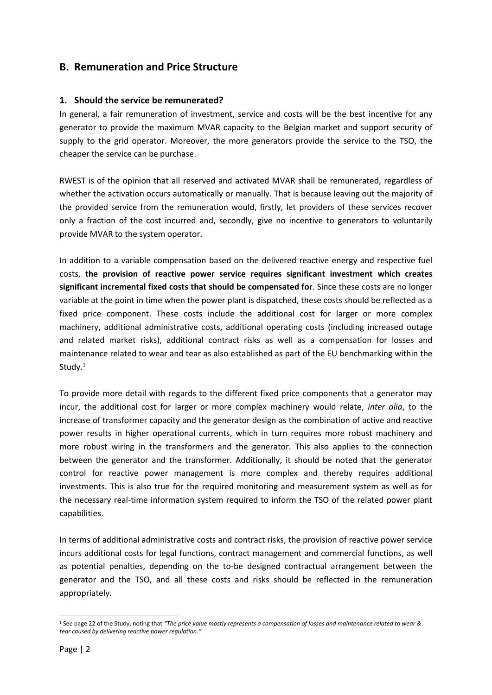## **B. Remuneration and Price Structure**

#### **1. Should the service be remunerated?**

In general, a fair remuneration of investment, service and costs will be the best incentive for any generator to provide the maximum MVAR capacity to the Belgian market and support security of supply to the grid operator. Moreover, the more generators provide the service to the TSO, the cheaper the service can be purchase.

RWEST is of the opinion that all reserved and activated MVAR shall be remunerated, regardless of whether the activation occurs automatically or manually. That is because leaving out the majority of the provided service from the remuneration would, firstly, let providers of these services recover only a fraction of the cost incurred and, secondly, give no incentive to generators to voluntarily provide MVAR to the system operator.

In addition to a variable compensation based on the delivered reactive energy and respective fuel costs, **the provision of reactive power service requires significant investment which creates significant incremental fixed costs that should be compensated for**. Since these costs are no longer variable at the point in time when the power plant is dispatched, these costs should be reflected as a fixed price component. These costs include the additional cost for larger or more complex machinery, additional administrative costs, additional operating costs (including increased outage and related market risks), additional contract risks as well as a compensation for losses and maintenance related to wear and tear as also established as part of the EU benchmarking within the Study.<sup>1</sup>

To provide more detail with regards to the different fixed price components that a generator may incur, the additional cost for larger or more complex machinery would relate, *inter alia*, to the increase of transformer capacity and the generator design as the combination of active and reactive power results in higher operational currents, which in turn requires more robust machinery and more robust wiring in the transformers and the generator. This also applies to the connection between the generator and the transformer. Additionally, it should be noted that the generator control for reactive power management is more complex and thereby requires additional investments. This is also true for the required monitoring and measurement system as well as for the necessary real-time information system required to inform the TSO of the related power plant capabilities.

In terms of additional administrative costs and contract risks, the provision of reactive power service incurs additional costs for legal functions, contract management and commercial functions, as well as potential penalties, depending on the to-be designed contractual arrangement between the generator and the TSO, and all these costs and risks should be reflected in the remuneration appropriately.

 $\overline{\phantom{a}}$ 

<sup>1</sup> See page 22 of the Study, noting that *"The price value mostly represents a compensation of losses and maintenance related to wear & tear caused by delivering reactive power regulation."*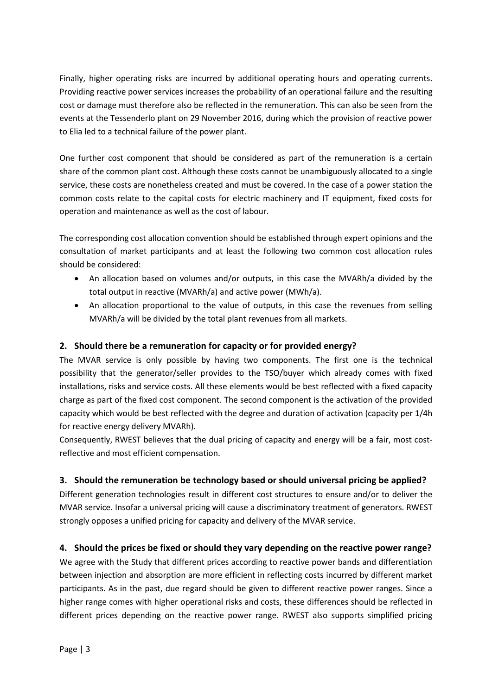Finally, higher operating risks are incurred by additional operating hours and operating currents. Providing reactive power services increases the probability of an operational failure and the resulting cost or damage must therefore also be reflected in the remuneration. This can also be seen from the events at the Tessenderlo plant on 29 November 2016, during which the provision of reactive power to Elia led to a technical failure of the power plant.

One further cost component that should be considered as part of the remuneration is a certain share of the common plant cost. Although these costs cannot be unambiguously allocated to a single service, these costs are nonetheless created and must be covered. In the case of a power station the common costs relate to the capital costs for electric machinery and IT equipment, fixed costs for operation and maintenance as well as the cost of labour.

The corresponding cost allocation convention should be established through expert opinions and the consultation of market participants and at least the following two common cost allocation rules should be considered:

- An allocation based on volumes and/or outputs, in this case the MVARh/a divided by the total output in reactive (MVARh/a) and active power (MWh/a).
- An allocation proportional to the value of outputs, in this case the revenues from selling MVARh/a will be divided by the total plant revenues from all markets.

### **2. Should there be a remuneration for capacity or for provided energy?**

The MVAR service is only possible by having two components. The first one is the technical possibility that the generator/seller provides to the TSO/buyer which already comes with fixed installations, risks and service costs. All these elements would be best reflected with a fixed capacity charge as part of the fixed cost component. The second component is the activation of the provided capacity which would be best reflected with the degree and duration of activation (capacity per 1/4h for reactive energy delivery MVARh).

Consequently, RWEST believes that the dual pricing of capacity and energy will be a fair, most costreflective and most efficient compensation.

### **3. Should the remuneration be technology based or should universal pricing be applied?**

Different generation technologies result in different cost structures to ensure and/or to deliver the MVAR service. Insofar a universal pricing will cause a discriminatory treatment of generators. RWEST strongly opposes a unified pricing for capacity and delivery of the MVAR service.

### **4. Should the prices be fixed or should they vary depending on the reactive power range?**

We agree with the Study that different prices according to reactive power bands and differentiation between injection and absorption are more efficient in reflecting costs incurred by different market participants. As in the past, due regard should be given to different reactive power ranges. Since a higher range comes with higher operational risks and costs, these differences should be reflected in different prices depending on the reactive power range. RWEST also supports simplified pricing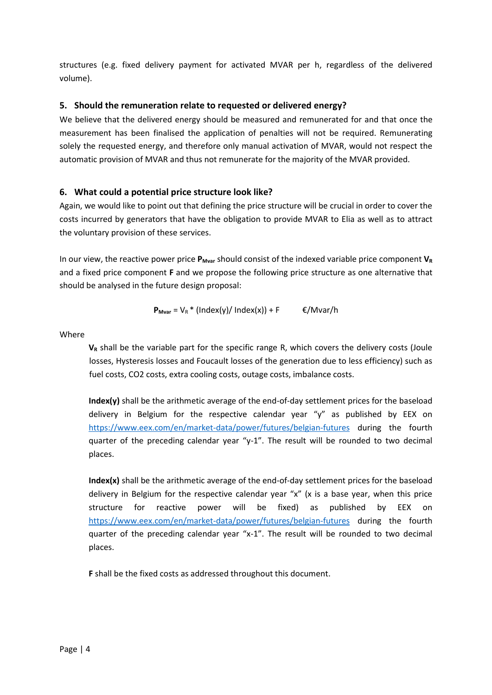structures (e.g. fixed delivery payment for activated MVAR per h, regardless of the delivered volume).

#### **5. Should the remuneration relate to requested or delivered energy?**

We believe that the delivered energy should be measured and remunerated for and that once the measurement has been finalised the application of penalties will not be required. Remunerating solely the requested energy, and therefore only manual activation of MVAR, would not respect the automatic provision of MVAR and thus not remunerate for the majority of the MVAR provided.

#### **6. What could a potential price structure look like?**

Again, we would like to point out that defining the price structure will be crucial in order to cover the costs incurred by generators that have the obligation to provide MVAR to Elia as well as to attract the voluntary provision of these services.

In our view, the reactive power price  $P_{Mvar}$  should consist of the indexed variable price component  $V_R$ and a fixed price component **F** and we propose the following price structure as one alternative that should be analysed in the future design proposal:

$$
\mathbf{P}_{\text{Mvar}} = V_{R} * (Index(y) / Index(x)) + F \qquad \in /Mvar/h
$$

Where

**V<sup>R</sup>** shall be the variable part for the specific range R, which covers the delivery costs (Joule losses, Hysteresis losses and Foucault losses of the generation due to less efficiency) such as fuel costs, CO2 costs, extra cooling costs, outage costs, imbalance costs.

**Index(y)** shall be the arithmetic average of the end-of-day settlement prices for the baseload delivery in Belgium for the respective calendar year "y" as published by EEX on <https://www.eex.com/en/market-data/power/futures/belgian-futures> during the fourth quarter of the preceding calendar year "y-1". The result will be rounded to two decimal places.

**Index(x)** shall be the arithmetic average of the end-of-day settlement prices for the baseload delivery in Belgium for the respective calendar year "x" (x is a base year, when this price structure for reactive power will be fixed) as published by EEX on <https://www.eex.com/en/market-data/power/futures/belgian-futures> during the fourth quarter of the preceding calendar year "x-1". The result will be rounded to two decimal places.

**F** shall be the fixed costs as addressed throughout this document.